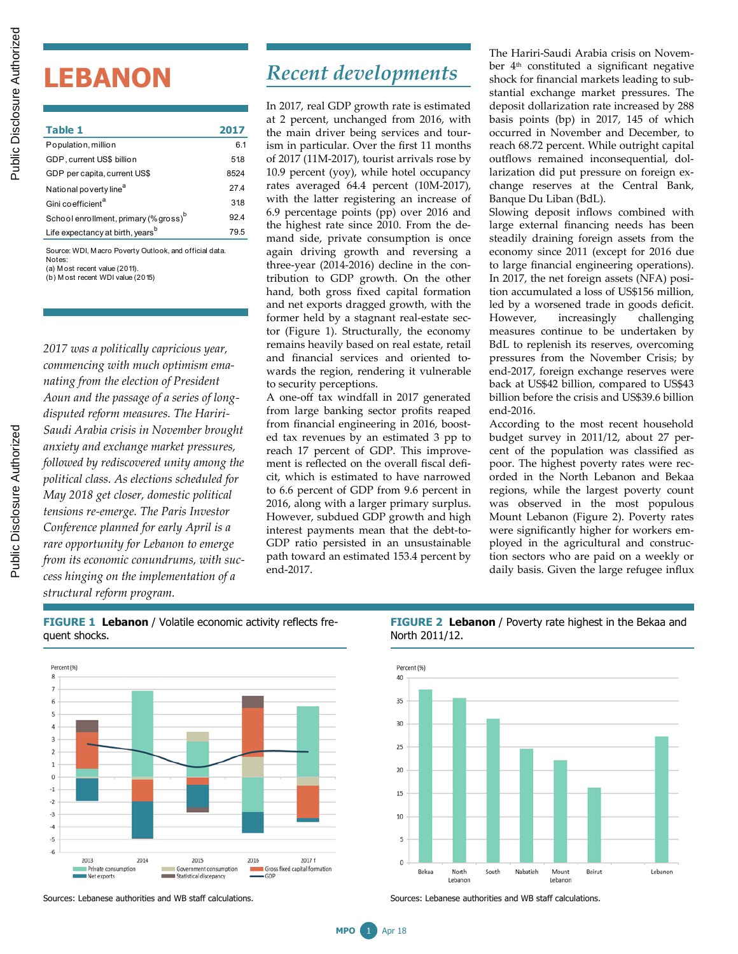# **LEBANON**

*2017 was a politically capricious year, commencing with much optimism emanating from the election of President Aoun and the passage of a series of longdisputed reform measures. The Hariri-Saudi Arabia crisis in November brought anxiety and exchange market pressures, followed by rediscovered unity among the political class. As elections scheduled for May 2018 get closer, domestic political tensions re-emerge. The Paris Investor Conference planned for early April is a rare opportunity for Lebanon to emerge from its economic conundrums, with success hinging on the implementation of a structural reform program.*

# *Recent developments*

In 2017, real GDP growth rate is estimated at 2 percent, unchanged from 2016, with the main driver being services and tourism in particular. Over the first 11 months of 2017 (11M-2017), tourist arrivals rose by 10.9 percent (yoy), while hotel occupancy rates averaged 64.4 percent (10M-2017), with the latter registering an increase of 6.9 percentage points (pp) over 2016 and the highest rate since 2010. From the demand side, private consumption is once again driving growth and reversing a three-year (2014-2016) decline in the contribution to GDP growth. On the other hand, both gross fixed capital formation and net exports dragged growth, with the former held by a stagnant real-estate sector (Figure 1). Structurally, the economy remains heavily based on real estate, retail and financial services and oriented towards the region, rendering it vulnerable to security perceptions.

A one-off tax windfall in 2017 generated from large banking sector profits reaped from financial engineering in 2016, boosted tax revenues by an estimated 3 pp to reach 17 percent of GDP. This improvement is reflected on the overall fiscal deficit, which is estimated to have narrowed to 6.6 percent of GDP from 9.6 percent in 2016, along with a larger primary surplus. However, subdued GDP growth and high interest payments mean that the debt-to-GDP ratio persisted in an unsustainable path toward an estimated 153.4 percent by end-2017.

The Hariri-Saudi Arabia crisis on November 4th constituted a significant negative shock for financial markets leading to substantial exchange market pressures. The deposit dollarization rate increased by 288 basis points (bp) in 2017, 145 of which occurred in November and December, to reach 68.72 percent. While outright capital outflows remained inconsequential, dollarization did put pressure on foreign exchange reserves at the Central Bank, Banque Du Liban (BdL).

Slowing deposit inflows combined with large external financing needs has been steadily draining foreign assets from the economy since 2011 (except for 2016 due to large financial engineering operations). In 2017, the net foreign assets (NFA) position accumulated a loss of US\$156 million, led by a worsened trade in goods deficit. However, increasingly challenging measures continue to be undertaken by BdL to replenish its reserves, overcoming pressures from the November Crisis; by end-2017, foreign exchange reserves were back at US\$42 billion, compared to US\$43 billion before the crisis and US\$39.6 billion end-2016.

According to the most recent household budget survey in 2011/12, about 27 percent of the population was classified as poor. The highest poverty rates were recorded in the North Lebanon and Bekaa regions, while the largest poverty count was observed in the most populous Mount Lebanon (Figure 2). Poverty rates were significantly higher for workers employed in the agricultural and construction sectors who are paid on a weekly or daily basis. Given the large refugee influx

**FIGURE 1 Lebanon** / Volatile economic activity reflects frequent shocks.



#### **FIGURE 2 Lebanon** / Poverty rate highest in the Bekaa and North 2011/12.